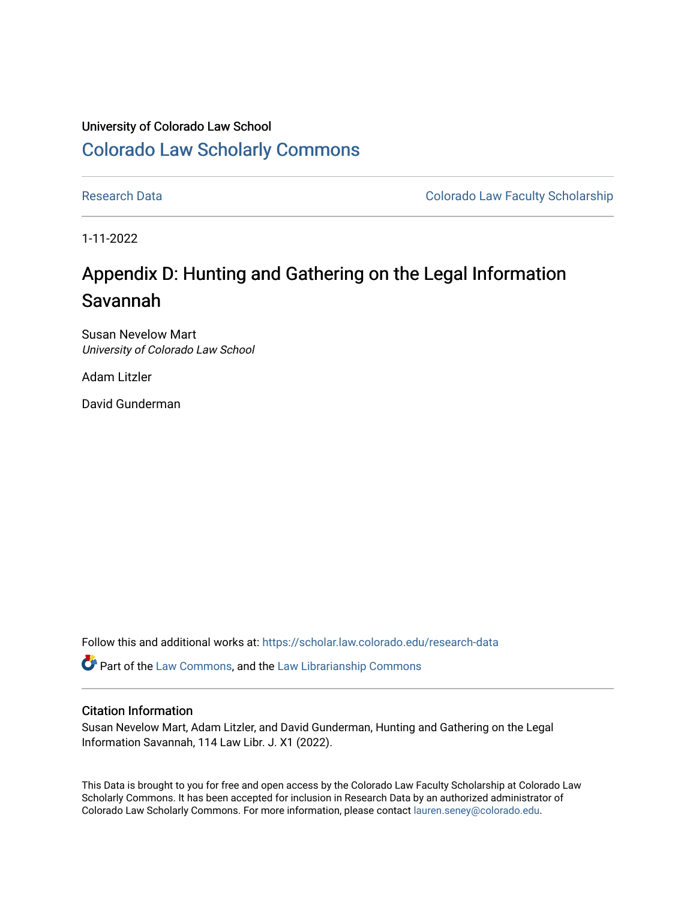## University of Colorado Law School [Colorado Law Scholarly Commons](https://scholar.law.colorado.edu/)

[Research Data](https://scholar.law.colorado.edu/research-data) **Colorado Law Faculty Scholarship** Colorado Law Faculty Scholarship

1-11-2022

## Appendix D: Hunting and Gathering on the Legal Information Savannah

Susan Nevelow Mart University of Colorado Law School

Adam Litzler

David Gunderman

Follow this and additional works at: [https://scholar.law.colorado.edu/research-data](https://scholar.law.colorado.edu/research-data?utm_source=scholar.law.colorado.edu%2Fresearch-data%2F14&utm_medium=PDF&utm_campaign=PDFCoverPages) 

Part of the [Law Commons](https://network.bepress.com/hgg/discipline/578?utm_source=scholar.law.colorado.edu%2Fresearch-data%2F14&utm_medium=PDF&utm_campaign=PDFCoverPages), and the [Law Librarianship Commons](https://network.bepress.com/hgg/discipline/1393?utm_source=scholar.law.colorado.edu%2Fresearch-data%2F14&utm_medium=PDF&utm_campaign=PDFCoverPages)

## Citation Information

Susan Nevelow Mart, Adam Litzler, and David Gunderman, Hunting and Gathering on the Legal Information Savannah, 114 Law Libr. J. X1 (2022).

This Data is brought to you for free and open access by the Colorado Law Faculty Scholarship at Colorado Law Scholarly Commons. It has been accepted for inclusion in Research Data by an authorized administrator of Colorado Law Scholarly Commons. For more information, please contact [lauren.seney@colorado.edu.](mailto:lauren.seney@colorado.edu)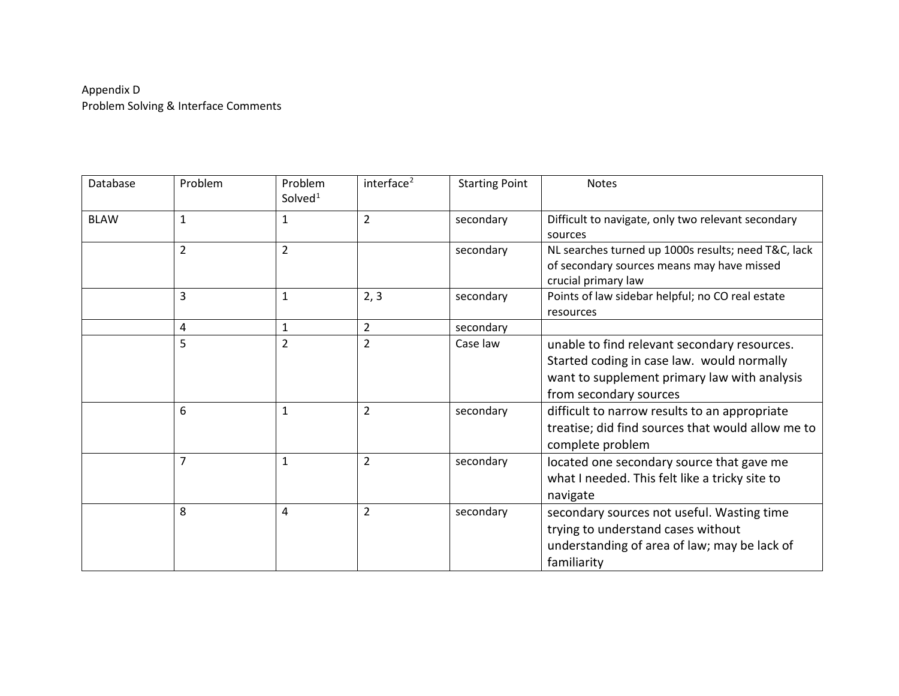## Appendix D Problem Solving & Interface Comments

| Database    | Problem        | Problem<br>Solved $1$ | interface <sup>2</sup> | <b>Starting Point</b> | <b>Notes</b>                                                                                                                                                         |
|-------------|----------------|-----------------------|------------------------|-----------------------|----------------------------------------------------------------------------------------------------------------------------------------------------------------------|
| <b>BLAW</b> | $\mathbf{1}$   | $\mathbf{1}$          | $\overline{2}$         | secondary             | Difficult to navigate, only two relevant secondary<br>sources                                                                                                        |
|             | $\overline{2}$ | $\overline{2}$        |                        | secondary             | NL searches turned up 1000s results; need T&C, lack<br>of secondary sources means may have missed<br>crucial primary law                                             |
|             | 3              | $\mathbf{1}$          | 2, 3                   | secondary             | Points of law sidebar helpful; no CO real estate<br>resources                                                                                                        |
|             | 4              | 1                     | $\overline{2}$         | secondary             |                                                                                                                                                                      |
|             | 5              | $\overline{2}$        | $\overline{2}$         | Case law              | unable to find relevant secondary resources.<br>Started coding in case law. would normally<br>want to supplement primary law with analysis<br>from secondary sources |
|             | 6              | $\mathbf{1}$          | $\overline{2}$         | secondary             | difficult to narrow results to an appropriate<br>treatise; did find sources that would allow me to<br>complete problem                                               |
|             | $\overline{7}$ | $\mathbf{1}$          | $\overline{2}$         | secondary             | located one secondary source that gave me<br>what I needed. This felt like a tricky site to<br>navigate                                                              |
|             | 8              | 4                     | $\overline{2}$         | secondary             | secondary sources not useful. Wasting time<br>trying to understand cases without<br>understanding of area of law; may be lack of<br>familiarity                      |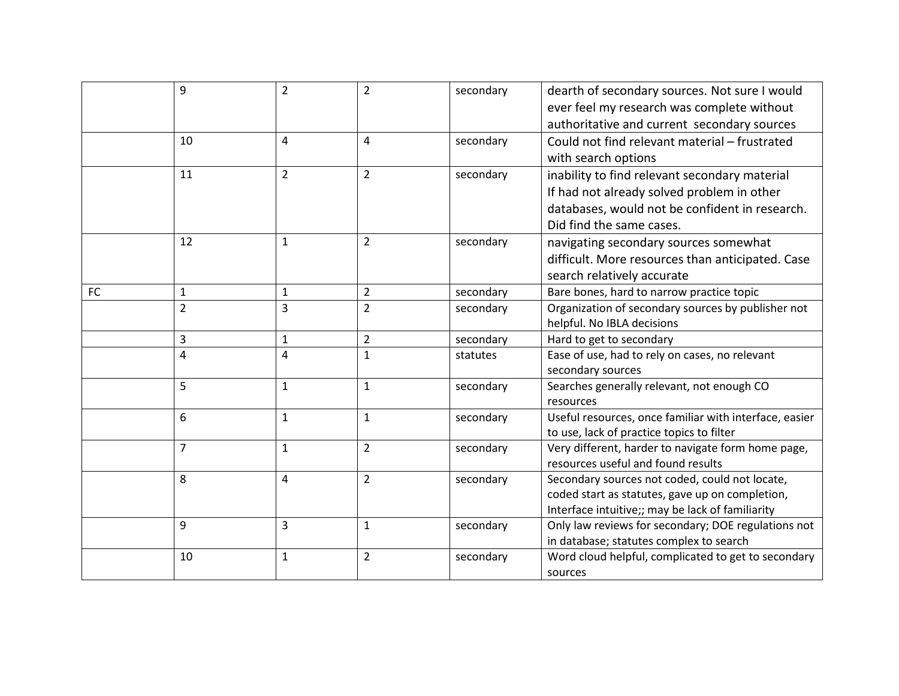|           | 9              | $\overline{2}$ | $\overline{2}$ | secondary | dearth of secondary sources. Not sure I would                                            |
|-----------|----------------|----------------|----------------|-----------|------------------------------------------------------------------------------------------|
|           |                |                |                |           | ever feel my research was complete without                                               |
|           |                |                |                |           | authoritative and current secondary sources                                              |
|           | 10             | 4              | $\overline{4}$ | secondary | Could not find relevant material - frustrated                                            |
|           |                |                |                |           | with search options                                                                      |
|           | 11             | $\overline{2}$ | $\overline{2}$ | secondary | inability to find relevant secondary material                                            |
|           |                |                |                |           | If had not already solved problem in other                                               |
|           |                |                |                |           | databases, would not be confident in research.                                           |
|           |                |                |                |           | Did find the same cases.                                                                 |
|           | 12             | $\mathbf{1}$   | $\overline{2}$ | secondary | navigating secondary sources somewhat                                                    |
|           |                |                |                |           | difficult. More resources than anticipated. Case                                         |
|           |                |                |                |           | search relatively accurate                                                               |
| <b>FC</b> | 1              | 1              | $\overline{2}$ | secondary | Bare bones, hard to narrow practice topic                                                |
|           | $\overline{2}$ | $\overline{3}$ | $\overline{2}$ | secondary | Organization of secondary sources by publisher not                                       |
|           |                |                |                |           | helpful. No IBLA decisions                                                               |
|           | 3              | $\mathbf{1}$   | $\overline{2}$ | secondary | Hard to get to secondary                                                                 |
|           | 4              | $\overline{4}$ | $\mathbf{1}$   | statutes  | Ease of use, had to rely on cases, no relevant                                           |
|           |                |                |                |           | secondary sources                                                                        |
|           | 5              | $\mathbf{1}$   | $\mathbf{1}$   | secondary | Searches generally relevant, not enough CO                                               |
|           |                |                |                |           | resources                                                                                |
|           | 6              | $\mathbf{1}$   | $\mathbf{1}$   | secondary | Useful resources, once familiar with interface, easier                                   |
|           |                |                |                |           | to use, lack of practice topics to filter                                                |
|           | $\overline{7}$ | $\mathbf{1}$   | $\overline{2}$ | secondary | Very different, harder to navigate form home page,<br>resources useful and found results |
|           | 8              |                | $\overline{2}$ |           | Secondary sources not coded, could not locate,                                           |
|           |                | 4              |                | secondary | coded start as statutes, gave up on completion,                                          |
|           |                |                |                |           | Interface intuitive;; may be lack of familiarity                                         |
|           | 9              | 3              | $\mathbf{1}$   | secondary | Only law reviews for secondary; DOE regulations not                                      |
|           |                |                |                |           | in database; statutes complex to search                                                  |
|           | 10             | $\mathbf{1}$   | $\overline{2}$ | secondary | Word cloud helpful, complicated to get to secondary                                      |
|           |                |                |                |           | sources                                                                                  |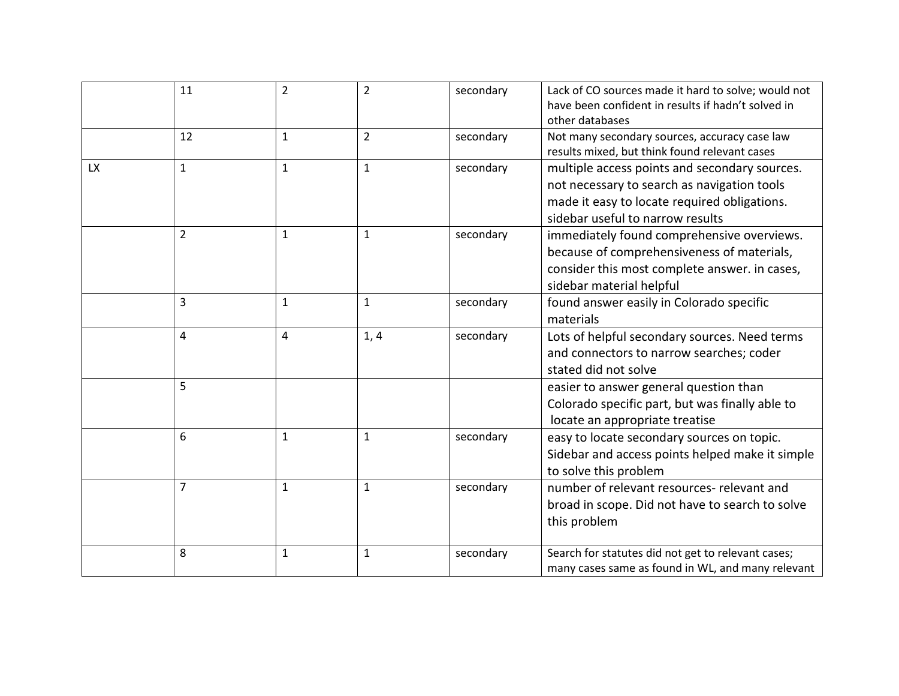|           | 11             | $\overline{2}$ | $\overline{2}$ | secondary | Lack of CO sources made it hard to solve; would not |
|-----------|----------------|----------------|----------------|-----------|-----------------------------------------------------|
|           |                |                |                |           | have been confident in results if hadn't solved in  |
|           |                |                |                |           | other databases                                     |
|           | 12             | 1              | $\overline{2}$ | secondary | Not many secondary sources, accuracy case law       |
|           |                |                |                |           | results mixed, but think found relevant cases       |
| <b>LX</b> | $\mathbf{1}$   | $\mathbf{1}$   | $\mathbf{1}$   | secondary | multiple access points and secondary sources.       |
|           |                |                |                |           | not necessary to search as navigation tools         |
|           |                |                |                |           | made it easy to locate required obligations.        |
|           |                |                |                |           | sidebar useful to narrow results                    |
|           | $\overline{2}$ | $\mathbf{1}$   | $\mathbf{1}$   | secondary | immediately found comprehensive overviews.          |
|           |                |                |                |           | because of comprehensiveness of materials,          |
|           |                |                |                |           | consider this most complete answer. in cases,       |
|           |                |                |                |           | sidebar material helpful                            |
|           | 3              | $\mathbf{1}$   | $\mathbf{1}$   | secondary | found answer easily in Colorado specific            |
|           |                |                |                |           | materials                                           |
|           | 4              | 4              | 1, 4           | secondary | Lots of helpful secondary sources. Need terms       |
|           |                |                |                |           | and connectors to narrow searches; coder            |
|           |                |                |                |           | stated did not solve                                |
|           | 5              |                |                |           | easier to answer general question than              |
|           |                |                |                |           | Colorado specific part, but was finally able to     |
|           |                |                |                |           | locate an appropriate treatise                      |
|           | 6              | $\mathbf{1}$   | $\mathbf{1}$   | secondary | easy to locate secondary sources on topic.          |
|           |                |                |                |           | Sidebar and access points helped make it simple     |
|           |                |                |                |           | to solve this problem                               |
|           | $\overline{7}$ | $\mathbf{1}$   | $\mathbf{1}$   | secondary | number of relevant resources- relevant and          |
|           |                |                |                |           | broad in scope. Did not have to search to solve     |
|           |                |                |                |           | this problem                                        |
|           |                |                |                |           |                                                     |
|           | 8              | 1              | $\mathbf{1}$   | secondary | Search for statutes did not get to relevant cases;  |
|           |                |                |                |           | many cases same as found in WL, and many relevant   |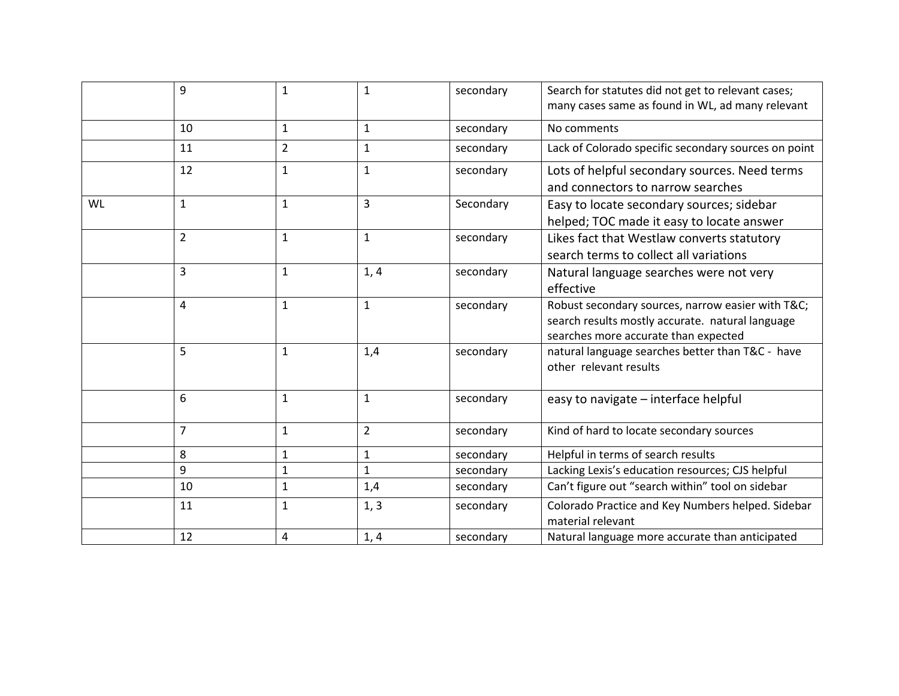|           | 9              | $\mathbf{1}$   | $\mathbf{1}$   | secondary | Search for statutes did not get to relevant cases;<br>many cases same as found in WL, ad many relevant                                       |
|-----------|----------------|----------------|----------------|-----------|----------------------------------------------------------------------------------------------------------------------------------------------|
|           | 10             | $\mathbf{1}$   | $\mathbf{1}$   | secondary | No comments                                                                                                                                  |
|           | 11             | $\overline{2}$ | $\mathbf{1}$   | secondary | Lack of Colorado specific secondary sources on point                                                                                         |
|           | 12             | $\mathbf{1}$   | $\mathbf{1}$   | secondary | Lots of helpful secondary sources. Need terms<br>and connectors to narrow searches                                                           |
| <b>WL</b> | $\mathbf{1}$   | $\mathbf{1}$   | $\overline{3}$ | Secondary | Easy to locate secondary sources; sidebar<br>helped; TOC made it easy to locate answer                                                       |
|           | $\overline{2}$ | $\mathbf{1}$   | $\mathbf{1}$   | secondary | Likes fact that Westlaw converts statutory<br>search terms to collect all variations                                                         |
|           | 3              | $\mathbf{1}$   | 1, 4           | secondary | Natural language searches were not very<br>effective                                                                                         |
|           | 4              | $\mathbf{1}$   | $\mathbf{1}$   | secondary | Robust secondary sources, narrow easier with T&C<br>search results mostly accurate. natural language<br>searches more accurate than expected |
|           | 5              | $\mathbf{1}$   | 1,4            | secondary | natural language searches better than T&C - have<br>other relevant results                                                                   |
|           | 6              | $\mathbf{1}$   | $\mathbf{1}$   | secondary | easy to navigate - interface helpful                                                                                                         |
|           | $\overline{7}$ | $\mathbf{1}$   | $\overline{2}$ | secondary | Kind of hard to locate secondary sources                                                                                                     |
|           | 8              | $\mathbf 1$    | $\mathbf{1}$   | secondary | Helpful in terms of search results                                                                                                           |
|           | 9              | $\mathbf{1}$   | $\mathbf{1}$   | secondary | Lacking Lexis's education resources; CJS helpful                                                                                             |
|           | 10             | $\mathbf{1}$   | 1,4            | secondary | Can't figure out "search within" tool on sidebar                                                                                             |
|           | 11             | $\mathbf{1}$   | 1, 3           | secondary | Colorado Practice and Key Numbers helped. Sidebar<br>material relevant                                                                       |
|           | 12             | $\overline{a}$ | 1, 4           | secondary | Natural language more accurate than anticipated                                                                                              |